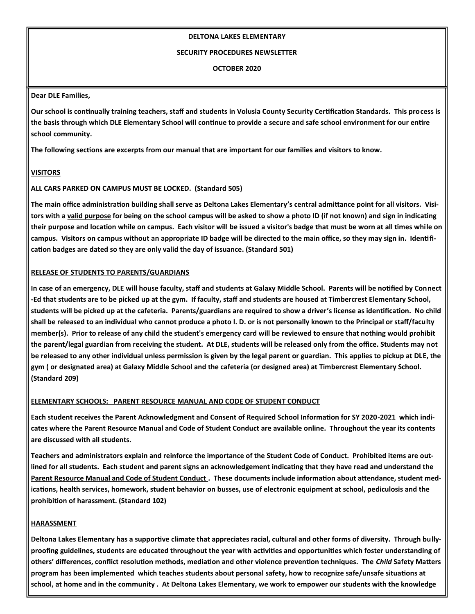### **DELTONA LAKES ELEMENTARY**

### **SECURITY PROCEDURES NEWSLETTER**

**OCTOBER 2020**

# **Dear DLE Families,**

**Our school is continually training teachers, staff and students in Volusia County Security Certification Standards. This process is the basis through which DLE Elementary School will continue to provide a secure and safe school environment for our entire school community.**

**The following sections are excerpts from our manual that are important for our families and visitors to know.**

# **VISITORS**

# **ALL CARS PARKED ON CAMPUS MUST BE LOCKED. (Standard 505)**

**The main office administration building shall serve as Deltona Lakes Elementary's central admittance point for all visitors. Visitors with a valid purpose for being on the school campus will be asked to show a photo ID (if not known) and sign in indicating their purpose and location while on campus. Each visitor will be issued a visitor's badge that must be worn at all times while on campus. Visitors on campus without an appropriate ID badge will be directed to the main office, so they may sign in. Identification badges are dated so they are only valid the day of issuance. (Standard 501)**

# **RELEASE OF STUDENTS TO PARENTS/GUARDIANS**

**In case of an emergency, DLE will house faculty, staff and students at Galaxy Middle School. Parents will be notified by Connect -Ed that students are to be picked up at the gym. If faculty, staff and students are housed at Timbercrest Elementary School, students will be picked up at the cafeteria. Parents/guardians are required to show a driver's license as identification. No child shall be released to an individual who cannot produce a photo I. D. or is not personally known to the Principal or staff/faculty member(s). Prior to release of any child the student's emergency card will be reviewed to ensure that nothing would prohibit the parent/legal guardian from receiving the student. At DLE, students will be released only from the office. Students may not be released to any other individual unless permission is given by the legal parent or guardian. This applies to pickup at DLE, the gym ( or designated area) at Galaxy Middle School and the cafeteria (or designed area) at Timbercrest Elementary School. (Standard 209)**

# **ELEMENTARY SCHOOLS: PARENT RESOURCE MANUAL AND CODE OF STUDENT CONDUCT**

**Each student receives the Parent Acknowledgment and Consent of Required School Information for SY 2020-2021 which indicates where the Parent Resource Manual and Code of Student Conduct are available online. Throughout the year its contents are discussed with all students.**

**Teachers and administrators explain and reinforce the importance of the Student Code of Conduct. Prohibited items are outlined for all students. Each student and parent signs an acknowledgement indicating that they have read and understand the Parent Resource Manual and Code of Student Conduct . These documents include information about attendance, student med**ications, health services, homework, student behavior on busses, use of electronic equipment at school, pediculosis and the **prohibition of harassment. (Standard 102)**

# **HARASSMENT**

**Deltona Lakes Elementary has a supportive climate that appreciates racial, cultural and other forms of diversity. Through bullyproofing guidelines, students are educated throughout the year with activities and opportunities which foster understanding of others' differences, conflict resolution methods, mediation and other violence prevention techniques. The** *Child* **Safety Matters program has been implemented which teaches students about personal safety, how to recognize safe/unsafe situations at school, at home and in the community . At Deltona Lakes Elementary, we work to empower our students with the knowledge**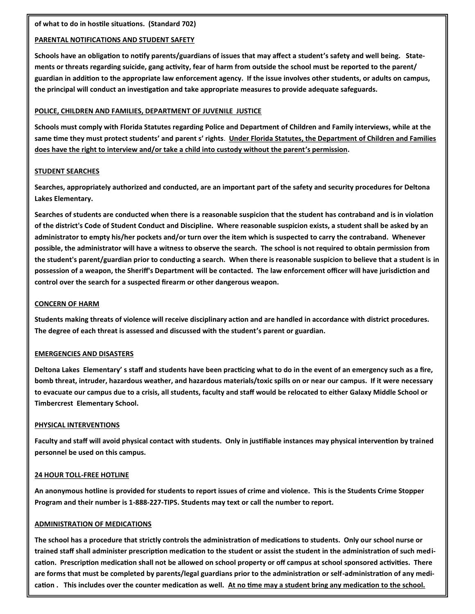# **PARENTAL NOTIFICATIONS AND STUDENT SAFETY**

**Schools have an obligation to notify parents/guardians of issues that may affect a student's safety and well being. Statements or threats regarding suicide, gang activity, fear of harm from outside the school must be reported to the parent/ guardian in addition to the appropriate law enforcement agency. If the issue involves other students, or adults on campus, the principal will conduct an investigation and take appropriate measures to provide adequate safeguards.**

## **POLICE, CHILDREN AND FAMILIES, DEPARTMENT OF JUVENILE JUSTICE**

**Schools must comply with Florida Statutes regarding Police and Department of Children and Family interviews, while at the same time they must protect students' and parent s' rights**. **Under Florida Statutes, the Department of Children and Families does have the right to interview and/or take a child into custody without the parent's permission.**

## **STUDENT SEARCHES**

**Searches, appropriately authorized and conducted, are an important part of the safety and security procedures for Deltona Lakes Elementary.**

**Searches of students are conducted when there is a reasonable suspicion that the student has contraband and is in violation of the district's Code of Student Conduct and Discipline. Where reasonable suspicion exists, a student shall be asked by an administrator to empty his/her pockets and/or turn over the item which is suspected to carry the contraband. Whenever possible, the administrator will have a witness to observe the search. The school is not required to obtain permission from the student's parent/guardian prior to conducting a search. When there is reasonable suspicion to believe that a student is in possession of a weapon, the Sheriff's Department will be contacted. The law enforcement officer will have jurisdiction and control over the search for a suspected firearm or other dangerous weapon.**

## **CONCERN OF HARM**

**Students making threats of violence will receive disciplinary action and are handled in accordance with district procedures. The degree of each threat is assessed and discussed with the student's parent or guardian.**

### **EMERGENCIES AND DISASTERS**

**Deltona Lakes Elementary' s staff and students have been practicing what to do in the event of an emergency such as a fire, bomb threat, intruder, hazardous weather, and hazardous materials/toxic spills on or near our campus. If it were necessary to evacuate our campus due to a crisis, all students, faculty and staff would be relocated to either Galaxy Middle School or Timbercrest Elementary School.**

# **PHYSICAL INTERVENTIONS**

**Faculty and staff will avoid physical contact with students. Only in justifiable instances may physical intervention by trained personnel be used on this campus.**

# **24 HOUR TOLL-FREE HOTLINE**

**An anonymous hotline is provided for students to report issues of crime and violence. This is the Students Crime Stopper Program and their number is 1-888-227-TIPS. Students may text or call the number to report.**

# **ADMINISTRATION OF MEDICATIONS**

**The school has a procedure that strictly controls the administration of medications to students. Only our school nurse or trained staff shall administer prescription medication to the student or assist the student in the administration of such medication. Prescription medication shall not be allowed on school property or off campus at school sponsored activities. There are forms that must be completed by parents/legal guardians prior to the administration or self-administration of any medication . This includes over the counter medication as well. At no time may a student bring any medication to the school.**